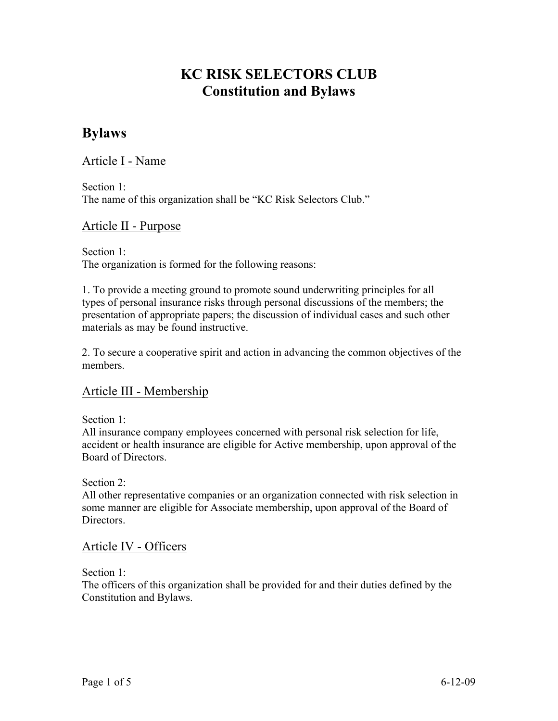# **KC RISK SELECTORS CLUB Constitution and Bylaws**

# **Bylaws**

Article I - Name

Section 1: The name of this organization shall be "KC Risk Selectors Club."

# Article II - Purpose

Section 1: The organization is formed for the following reasons:

1. To provide a meeting ground to promote sound underwriting principles for all types of personal insurance risks through personal discussions of the members; the presentation of appropriate papers; the discussion of individual cases and such other materials as may be found instructive.

2. To secure a cooperative spirit and action in advancing the common objectives of the members.

# Article III - Membership

Section 1:

All insurance company employees concerned with personal risk selection for life, accident or health insurance are eligible for Active membership, upon approval of the Board of Directors.

Section 2<sup>-</sup>

All other representative companies or an organization connected with risk selection in some manner are eligible for Associate membership, upon approval of the Board of **Directors** 

# Article IV - Officers

Section 1:

The officers of this organization shall be provided for and their duties defined by the Constitution and Bylaws.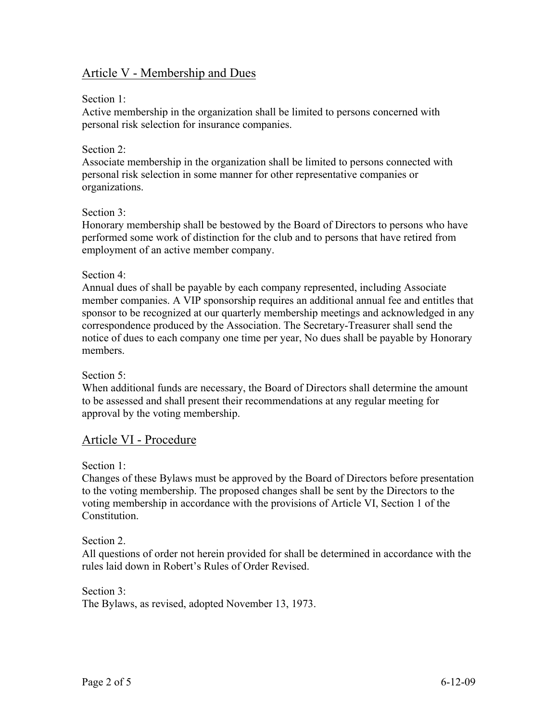# Article V - Membership and Dues

#### Section 1:

Active membership in the organization shall be limited to persons concerned with personal risk selection for insurance companies.

#### Section 2:

Associate membership in the organization shall be limited to persons connected with personal risk selection in some manner for other representative companies or organizations.

#### Section 3:

Honorary membership shall be bestowed by the Board of Directors to persons who have performed some work of distinction for the club and to persons that have retired from employment of an active member company.

#### Section 4:

Annual dues of shall be payable by each company represented, including Associate member companies. A VIP sponsorship requires an additional annual fee and entitles that sponsor to be recognized at our quarterly membership meetings and acknowledged in any correspondence produced by the Association. The Secretary-Treasurer shall send the notice of dues to each company one time per year, No dues shall be payable by Honorary members.

#### Section 5:

When additional funds are necessary, the Board of Directors shall determine the amount to be assessed and shall present their recommendations at any regular meeting for approval by the voting membership.

# Article VI - Procedure

Section 1:

Changes of these Bylaws must be approved by the Board of Directors before presentation to the voting membership. The proposed changes shall be sent by the Directors to the voting membership in accordance with the provisions of Article VI, Section 1 of the **Constitution** 

#### Section 2.

All questions of order not herein provided for shall be determined in accordance with the rules laid down in Robert's Rules of Order Revised.

Section 3: The Bylaws, as revised, adopted November 13, 1973.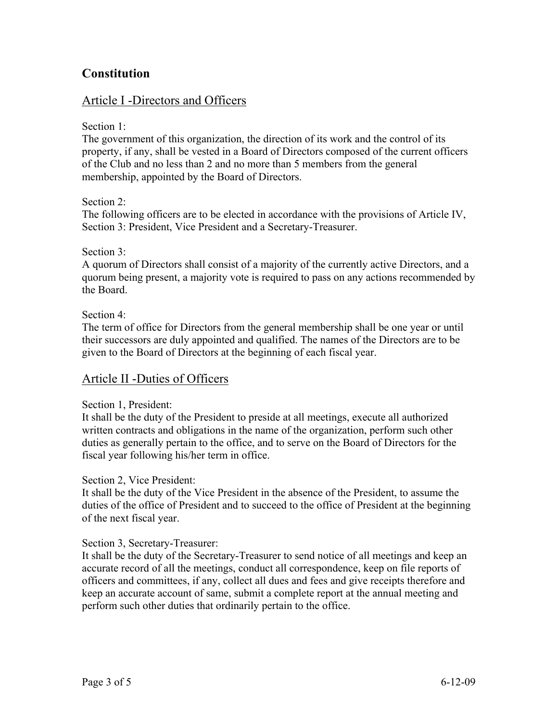# **Constitution**

# Article I -Directors and Officers

Section 1:

The government of this organization, the direction of its work and the control of its property, if any, shall be vested in a Board of Directors composed of the current officers of the Club and no less than 2 and no more than 5 members from the general membership, appointed by the Board of Directors.

Section 2<sup>-</sup>

The following officers are to be elected in accordance with the provisions of Article IV, Section 3: President, Vice President and a Secretary-Treasurer.

#### Section 3:

A quorum of Directors shall consist of a majority of the currently active Directors, and a quorum being present, a majority vote is required to pass on any actions recommended by the Board.

Section 4:

The term of office for Directors from the general membership shall be one year or until their successors are duly appointed and qualified. The names of the Directors are to be given to the Board of Directors at the beginning of each fiscal year.

# Article II -Duties of Officers

#### Section 1, President:

It shall be the duty of the President to preside at all meetings, execute all authorized written contracts and obligations in the name of the organization, perform such other duties as generally pertain to the office, and to serve on the Board of Directors for the fiscal year following his/her term in office.

#### Section 2, Vice President:

It shall be the duty of the Vice President in the absence of the President, to assume the duties of the office of President and to succeed to the office of President at the beginning of the next fiscal year.

#### Section 3, Secretary-Treasurer:

It shall be the duty of the Secretary-Treasurer to send notice of all meetings and keep an accurate record of all the meetings, conduct all correspondence, keep on file reports of officers and committees, if any, collect all dues and fees and give receipts therefore and keep an accurate account of same, submit a complete report at the annual meeting and perform such other duties that ordinarily pertain to the office.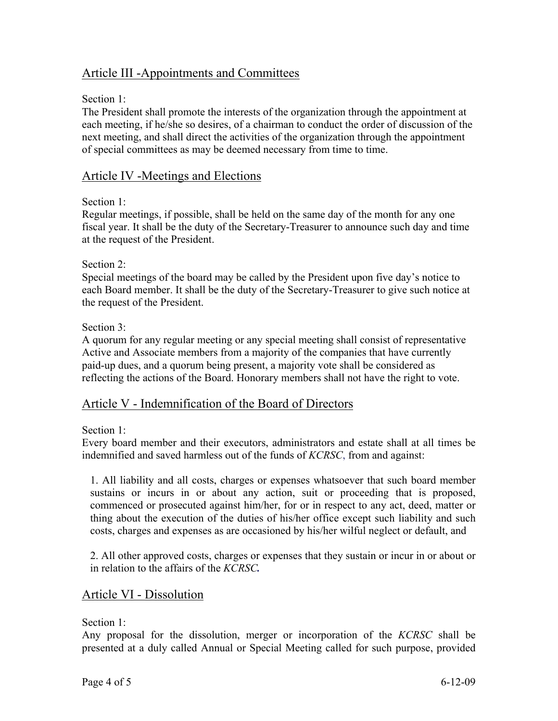# Article III -Appointments and Committees

### Section 1:

The President shall promote the interests of the organization through the appointment at each meeting, if he/she so desires, of a chairman to conduct the order of discussion of the next meeting, and shall direct the activities of the organization through the appointment of special committees as may be deemed necessary from time to time.

# Article IV -Meetings and Elections

#### Section 1<sup>-</sup>

Regular meetings, if possible, shall be held on the same day of the month for any one fiscal year. It shall be the duty of the Secretary-Treasurer to announce such day and time at the request of the President.

### Section 2:

Special meetings of the board may be called by the President upon five day's notice to each Board member. It shall be the duty of the Secretary-Treasurer to give such notice at the request of the President.

### Section 3:

A quorum for any regular meeting or any special meeting shall consist of representative Active and Associate members from a majority of the companies that have currently paid-up dues, and a quorum being present, a majority vote shall be considered as reflecting the actions of the Board. Honorary members shall not have the right to vote.

# Article V - Indemnification of the Board of Directors

#### Section 1:

Every board member and their executors, administrators and estate shall at all times be indemnified and saved harmless out of the funds of *KCRSC*, from and against:

1. All liability and all costs, charges or expenses whatsoever that such board member sustains or incurs in or about any action, suit or proceeding that is proposed, commenced or prosecuted against him/her, for or in respect to any act, deed, matter or thing about the execution of the duties of his/her office except such liability and such costs, charges and expenses as are occasioned by his/her wilful neglect or default, and

2. All other approved costs, charges or expenses that they sustain or incur in or about or in relation to the affairs of the *KCRSC.*

# Article VI - Dissolution

#### Section 1:

Any proposal for the dissolution, merger or incorporation of the *KCRSC* shall be presented at a duly called Annual or Special Meeting called for such purpose, provided